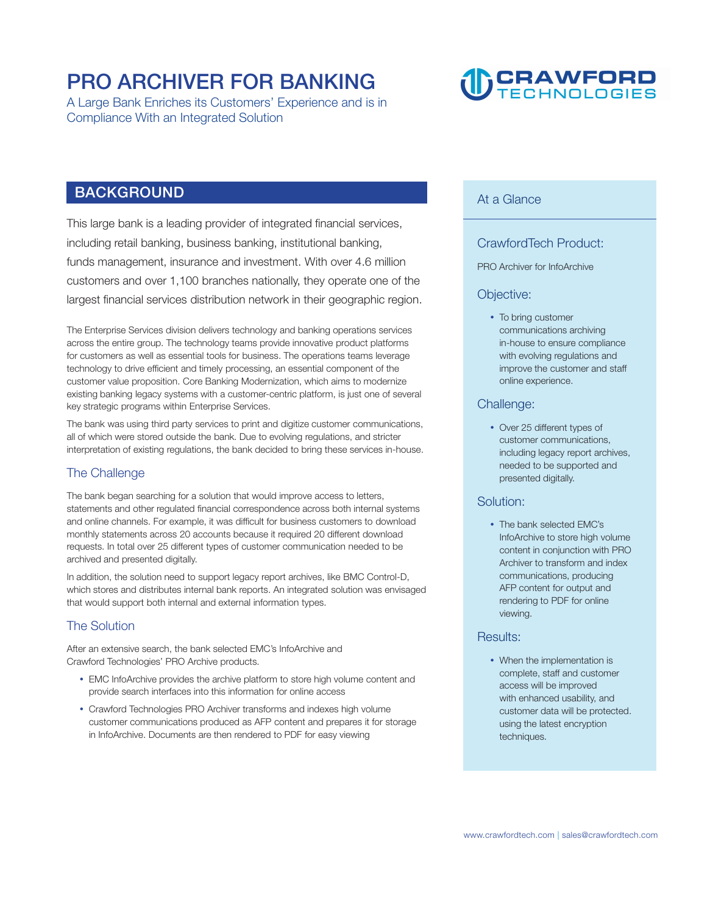### **PRO ARCHIVER FOR BANKING**

**A Large Bank Enriches its Customers' Experience and is in Compliance With an Integrated Solution** 

## **CRAWFORD**

#### **BACKGROUND**

**This large bank is a leading provider of integrated financial services, including retail banking, business banking, institutional banking, funds management, insurance and investment. With over 4.6 million customers and over 1,100 branches nationally, they operate one of the largest financial services distribution network in their geographic region.** 

**The Enterprise Services division delivers technology and banking operations services across the entire group. The technology teams provide innovative product platforms for customers as well as essential tools for business. The operations teams leverage technology to drive efficient and timely processing, an essential component of the customer value proposition. Core Banking Modernization, which aims to modernize existing banking legacy systems with a customer-centric platform, is just one of several key strategic programs within Enterprise Services.** 

**The bank was using third party services to print and digitize customer communications, all of which were stored outside the bank. Due to evolving regulations, and stricter interpretation of existing regulations, the bank decided to bring these services in-house.** 

#### **The Challenge**

**The bank began searching for a solution that would improve access to letters, statements and other regulated financial correspondence across both internal systems and online channels. For example, it was difficult for business customers to download monthly statements across 20 accounts because it required 20 different download requests. In total over 25 different types of customer communication needed to be archived and presented digitally.** 

**In addition, the solution need to support legacy report archives, like BMC Control-D, which stores and distributes internal bank reports. An integrated solution was envisaged that would support both internal and external information types.** 

#### **The Solution**

**After an extensive search, the bank selected EMC's InfoArchive and Crawford Technologies' PRO Archive products.** 

- **EMC InfoArchive provides the archive platform to store high volume content and provide search interfaces into this information for online access**
- **Crawford Technologies PRO Archiver transforms and indexes high volume customer communications produced as AFP content and prepares it for storage in InfoArchive. Documents are then rendered to PDF for easy viewing**

#### **At a Glance**

#### **CrawfordTech Product:**

#### **PRO Archiver for InfoArchive**

#### **Objective:**

 **To bring customer communications archiving in-house to ensure compliance with evolving regulations and improve the customer and staff online experience.**

#### **Challenge:**

 **Over 25 different types of customer communications, including legacy report archives, needed to be supported and presented digitally.**

#### **Solution:**

 **The bank selected EMC's InfoArchive to store high volume content in conjunction with PRO Archiver to transform and index communications, producing AFP content for output and rendering to PDF for online viewing.**

#### **Results:**

 **When the implementation is complete, staff and customer access will be improved with enhanced usability, and customer data will be protected. using the latest encryption techniques.**